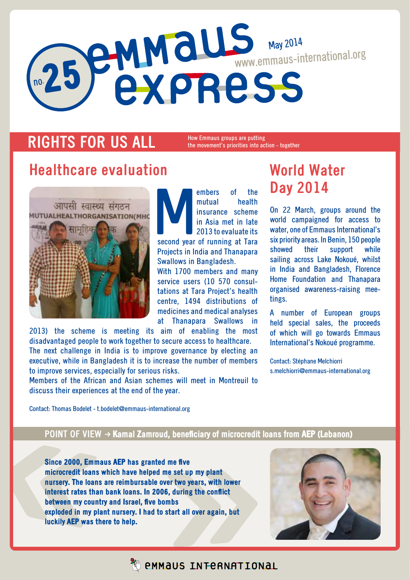# no. 25 May 2014 www.emmaus-international.org

## **RIGHTS FOR US ALL**

How Emmaus groups are putting the movement's priorities into action - together

### **Healthcare evaluation**



embers of the<br>
mutual health<br>
insurance scheme<br>
in Asia met in late<br>
2013 to evaluate its<br>
second year of running at Tara mutual health insurance scheme in Asia met in late 2013 to evaluate its Projects in India and Thanapara Swallows in Bangladesh. With 1700 members and many

service users (10 570 consultations at Tara Project's health centre, 1494 distributions of medicines and medical analyses at Thanapara Swallows in

2013) the scheme is meeting its aim of enabling the most disadvantaged people to work together to secure access to healthcare. The next challenge in India is to improve governance by electing an executive, while in Bangladesh it is to increase the number of members to improve services, especially for serious risks.

Members of the African and Asian schemes will meet in Montreuil to discuss their experiences at the end of the year.

# **World Water Day 2014**

On 22 March, groups around the world campaigned for access to water, one of Emmaus International's six priority areas. In Benin, 150 people showed their support while sailing across Lake Nokoué, whilst in India and Bangladesh, Florence Home Foundation and Thanapara organised awareness-raising meetings.

A number of European groups held special sales, the proceeds of which will go towards Emmaus International's Nokoué programme.

Contact: Stéphane Melchiorri s.melchiorri@emmaus-international.org

Contact: Thomas Bodelet - t.bodelet@emmaus-international.org

#### **POINT OF VIEW → Kamal Zamroud, beneficiary of microcredit loans from AEP (Lebanon)**

Since 2000, Emmaus AEP has granted me five microcredit loans which have helped me set up my plant nursery. The loans are reimbursable over two years, with lower interest rates than bank loans. In 2006, during the conflict between my country and Israel, five bombs exploded in my plant nursery. I had to start all over again, but luckily AEP was there to help.



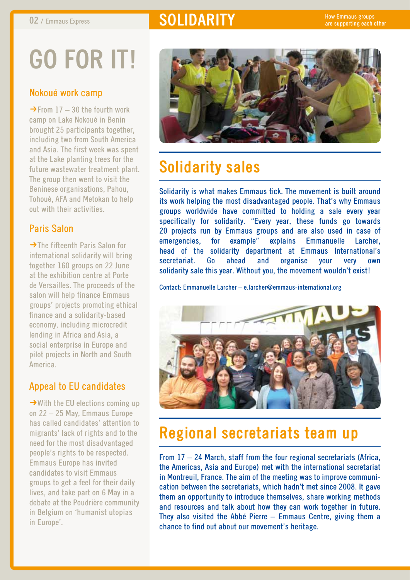# **02** / Emmaus Express **state of SOLIDARITY**

# **Go for it!**

#### Nokoué work camp

 $\rightarrow$  From 17 – 30 the fourth work camp on Lake Nokoué in Benin brought 25 participants together, including two from South America and Asia. The first week was spent at the Lake planting trees for the future wastewater treatment plant. The group then went to visit the Beninese organisations, Pahou, Tohouè, AFA and Metokan to help out with their activities.

#### Paris Salon

 $\rightarrow$ The fifteenth Paris Salon for international solidarity will bring together 160 groups on 22 June at the exhibition centre at Porte de Versailles. The proceeds of the salon will help finance Emmaus groups' projects promoting ethical finance and a solidarity-based economy, including microcredit lending in Africa and Asia, a social enterprise in Europe and pilot projects in North and South America.

#### Appeal to EU candidates

 $\rightarrow$  With the EU elections coming up on 22 – 25 May, Emmaus Europe has called candidates' attention to migrants' lack of rights and to the need for the most disadvantaged people's rights to be respected. Emmaus Europe has invited candidates to visit Emmaus groups to get a feel for their daily lives, and take part on 6 May in a debate at the Poudrière community in Belgium on 'humanist utopias in Europe'.



# **Solidarity sales**

Solidarity is what makes Emmaus tick. The movement is built around its work helping the most disadvantaged people. That's why Emmaus groups worldwide have committed to holding a sale every year specifically for solidarity. "Every year, these funds go towards 20 projects run by Emmaus groups and are also used in case of emergencies, for example" explains Emmanuelle Larcher, head of the solidarity department at Emmaus International's secretariat. Go ahead and organise your very own solidarity sale this year. Without you, the movement wouldn't exist!

Contact: Emmanuelle Larcher – e.larcher@emmaus-international.org



## **Regional secretariats team up**

From 17 – 24 March, staff from the four regional secretariats (Africa, the Americas, Asia and Europe) met with the international secretariat in Montreuil, France. The aim of the meeting was to improve communication between the secretariats, which hadn't met since 2008. It gave them an opportunity to introduce themselves, share working methods and resources and talk about how they can work together in future. They also visited the Abbé Pierre – Emmaus Centre, giving them a chance to find out about our movement's heritage.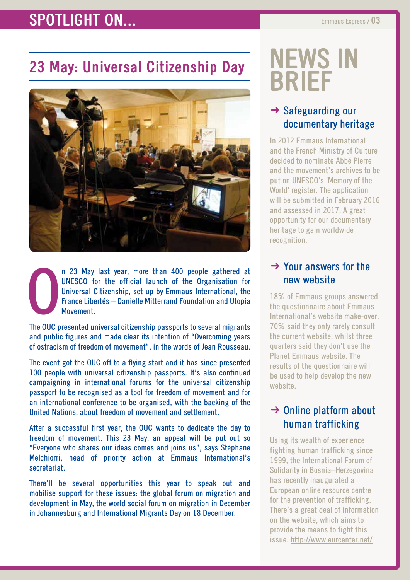## **SPOTLIGHT ON...** Emmaus Express / 03

# **23 May: Universal Citizenship Day**



O n 23 May last year, more than 400 people gathered at UNESCO for the official launch of the Organisation for Universal Citizenship, set up by Emmaus International, the France Libertés – Danielle Mitterrand Foundation and Utopia Movement.

The OUC presented universal citizenship passports to several migrants and public figures and made clear its intention of "Overcoming years of ostracism of freedom of movement", in the words of Jean Rousseau.

The event got the OUC off to a flying start and it has since presented 100 people with universal citizenship passports. It's also continued campaigning in international forums for the universal citizenship passport to be recognised as a tool for freedom of movement and for an international conference to be organised, with the backing of the United Nations, about freedom of movement and settlement.

After a successful first year, the OUC wants to dedicate the day to freedom of movement. This 23 May, an appeal will be put out so "Everyone who shares our ideas comes and joins us", says Stéphane Melchiorri, head of priority action at Emmaus International's secretariat.

There'll be several opportunities this year to speak out and mobilise support for these issues: the global forum on migration and development in May, the world social forum on migration in December in Johannesburg and International Migrants Day on 18 December.

# **news in brief**

#### $\rightarrow$  Safeguarding our documentary heritage

In 2012 Emmaus International and the French Ministry of Culture decided to nominate Abbé Pierre and the movement's archives to be put on UNESCO's 'Memory of the World' register. The application will be submitted in February 2016 and assessed in 2017. A great opportunity for our documentary heritage to gain worldwide recognition.

#### $\rightarrow$  Your answers for the new website

18% of Emmaus groups answered the questionnaire about Emmaus International's website make-over. 70% said they only rarely consult the current website, whilst three quarters said they don't use the Planet Emmaus website. The results of the questionnaire will be used to help develop the new website.

#### $\rightarrow$  Online platform about human trafficking

Using its wealth of experience fighting human trafficking since 1999, the International Forum of Solidarity in Bosnia–Herzegovina has recently inaugurated a European online resource centre for the prevention of trafficking. There's a great deal of information on the website, which aims to provide the means to fight this issue. http://www.eurcenter.net/